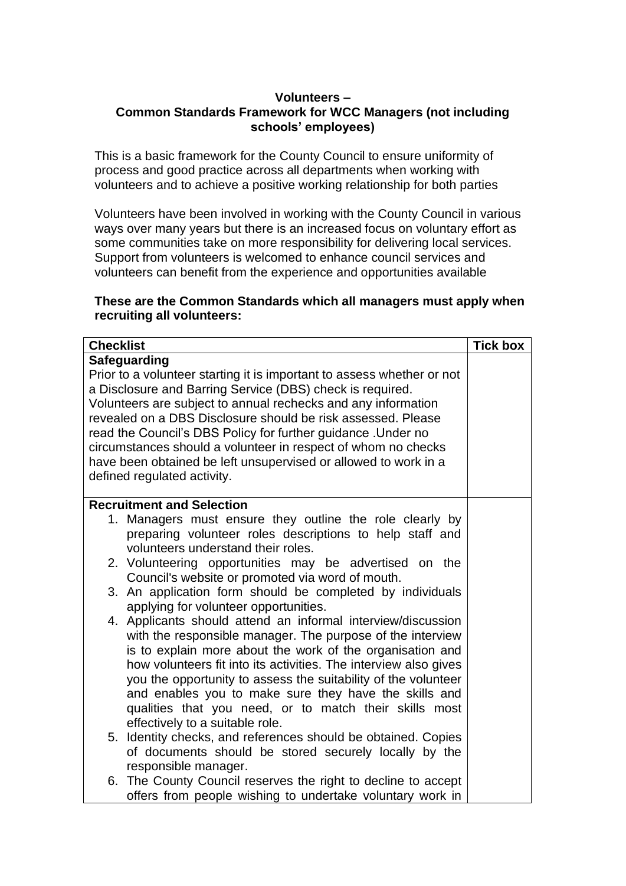## **Volunteers – Common Standards Framework for WCC Managers (not including schools' employees)**

This is a basic framework for the County Council to ensure uniformity of process and good practice across all departments when working with volunteers and to achieve a positive working relationship for both parties

Volunteers have been involved in working with the County Council in various ways over many years but there is an increased focus on voluntary effort as some communities take on more responsibility for delivering local services. Support from volunteers is welcomed to enhance council services and volunteers can benefit from the experience and opportunities available

## **These are the Common Standards which all managers must apply when recruiting all volunteers:**

| <b>Checklist</b>                                                                                                                                                                                                                                                                                                                                                                                                                                                                                                                                                                                                                                                                                                                                                                                                                                                                                                                                                                                                                    | <b>Tick box</b> |
|-------------------------------------------------------------------------------------------------------------------------------------------------------------------------------------------------------------------------------------------------------------------------------------------------------------------------------------------------------------------------------------------------------------------------------------------------------------------------------------------------------------------------------------------------------------------------------------------------------------------------------------------------------------------------------------------------------------------------------------------------------------------------------------------------------------------------------------------------------------------------------------------------------------------------------------------------------------------------------------------------------------------------------------|-----------------|
| Safeguarding<br>Prior to a volunteer starting it is important to assess whether or not<br>a Disclosure and Barring Service (DBS) check is required.<br>Volunteers are subject to annual rechecks and any information<br>revealed on a DBS Disclosure should be risk assessed. Please<br>read the Council's DBS Policy for further guidance. Under no<br>circumstances should a volunteer in respect of whom no checks<br>have been obtained be left unsupervised or allowed to work in a<br>defined regulated activity.                                                                                                                                                                                                                                                                                                                                                                                                                                                                                                             |                 |
| <b>Recruitment and Selection</b><br>1. Managers must ensure they outline the role clearly by<br>preparing volunteer roles descriptions to help staff and<br>volunteers understand their roles.<br>2. Volunteering opportunities may be advertised on the<br>Council's website or promoted via word of mouth.<br>3. An application form should be completed by individuals<br>applying for volunteer opportunities.<br>4. Applicants should attend an informal interview/discussion<br>with the responsible manager. The purpose of the interview<br>is to explain more about the work of the organisation and<br>how volunteers fit into its activities. The interview also gives<br>you the opportunity to assess the suitability of the volunteer<br>and enables you to make sure they have the skills and<br>qualities that you need, or to match their skills most<br>effectively to a suitable role.<br>5. Identity checks, and references should be obtained. Copies<br>of documents should be stored securely locally by the |                 |
| responsible manager.<br>6. The County Council reserves the right to decline to accept<br>offers from people wishing to undertake voluntary work in                                                                                                                                                                                                                                                                                                                                                                                                                                                                                                                                                                                                                                                                                                                                                                                                                                                                                  |                 |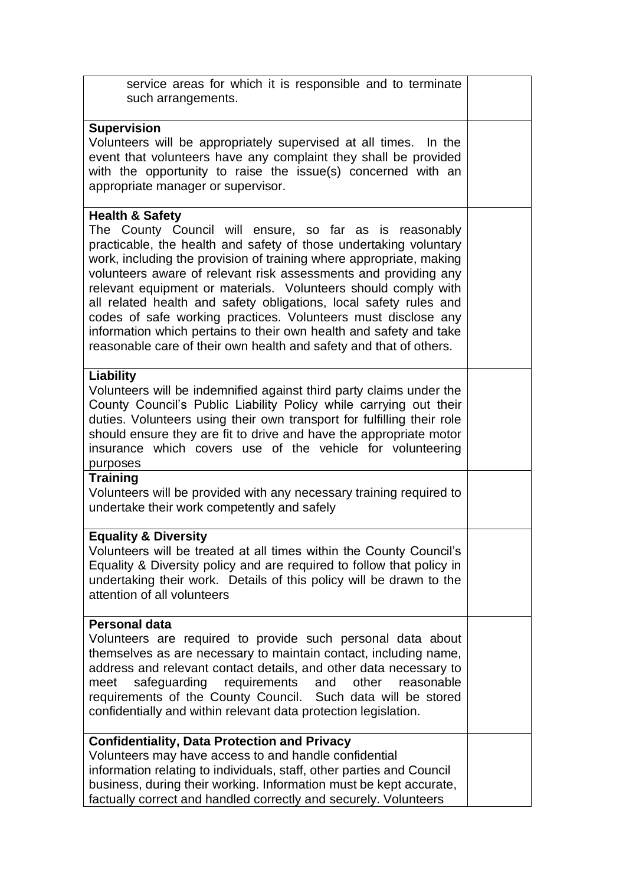| service areas for which it is responsible and to terminate<br>such arrangements.                                                                                                                                                                                                                                                                                                                                                                                                                                                                                                                                                                         |  |
|----------------------------------------------------------------------------------------------------------------------------------------------------------------------------------------------------------------------------------------------------------------------------------------------------------------------------------------------------------------------------------------------------------------------------------------------------------------------------------------------------------------------------------------------------------------------------------------------------------------------------------------------------------|--|
| <b>Supervision</b><br>Volunteers will be appropriately supervised at all times. In the<br>event that volunteers have any complaint they shall be provided<br>with the opportunity to raise the issue(s) concerned with an<br>appropriate manager or supervisor.                                                                                                                                                                                                                                                                                                                                                                                          |  |
| <b>Health &amp; Safety</b><br>The County Council will ensure, so far as is reasonably<br>practicable, the health and safety of those undertaking voluntary<br>work, including the provision of training where appropriate, making<br>volunteers aware of relevant risk assessments and providing any<br>relevant equipment or materials. Volunteers should comply with<br>all related health and safety obligations, local safety rules and<br>codes of safe working practices. Volunteers must disclose any<br>information which pertains to their own health and safety and take<br>reasonable care of their own health and safety and that of others. |  |
| Liability<br>Volunteers will be indemnified against third party claims under the<br>County Council's Public Liability Policy while carrying out their<br>duties. Volunteers using their own transport for fulfilling their role<br>should ensure they are fit to drive and have the appropriate motor<br>insurance which covers use of the vehicle for volunteering<br>purposes                                                                                                                                                                                                                                                                          |  |
| <b>Training</b><br>Volunteers will be provided with any necessary training required to<br>undertake their work competently and safely                                                                                                                                                                                                                                                                                                                                                                                                                                                                                                                    |  |
| <b>Equality &amp; Diversity</b><br>Volunteers will be treated at all times within the County Council's<br>Equality & Diversity policy and are required to follow that policy in<br>undertaking their work. Details of this policy will be drawn to the<br>attention of all volunteers                                                                                                                                                                                                                                                                                                                                                                    |  |
| <b>Personal data</b><br>Volunteers are required to provide such personal data about<br>themselves as are necessary to maintain contact, including name,<br>address and relevant contact details, and other data necessary to<br>safeguarding requirements<br>and<br>other<br>meet<br>reasonable<br>requirements of the County Council. Such data will be stored<br>confidentially and within relevant data protection legislation.                                                                                                                                                                                                                       |  |
| <b>Confidentiality, Data Protection and Privacy</b><br>Volunteers may have access to and handle confidential<br>information relating to individuals, staff, other parties and Council<br>business, during their working. Information must be kept accurate,<br>factually correct and handled correctly and securely. Volunteers                                                                                                                                                                                                                                                                                                                          |  |